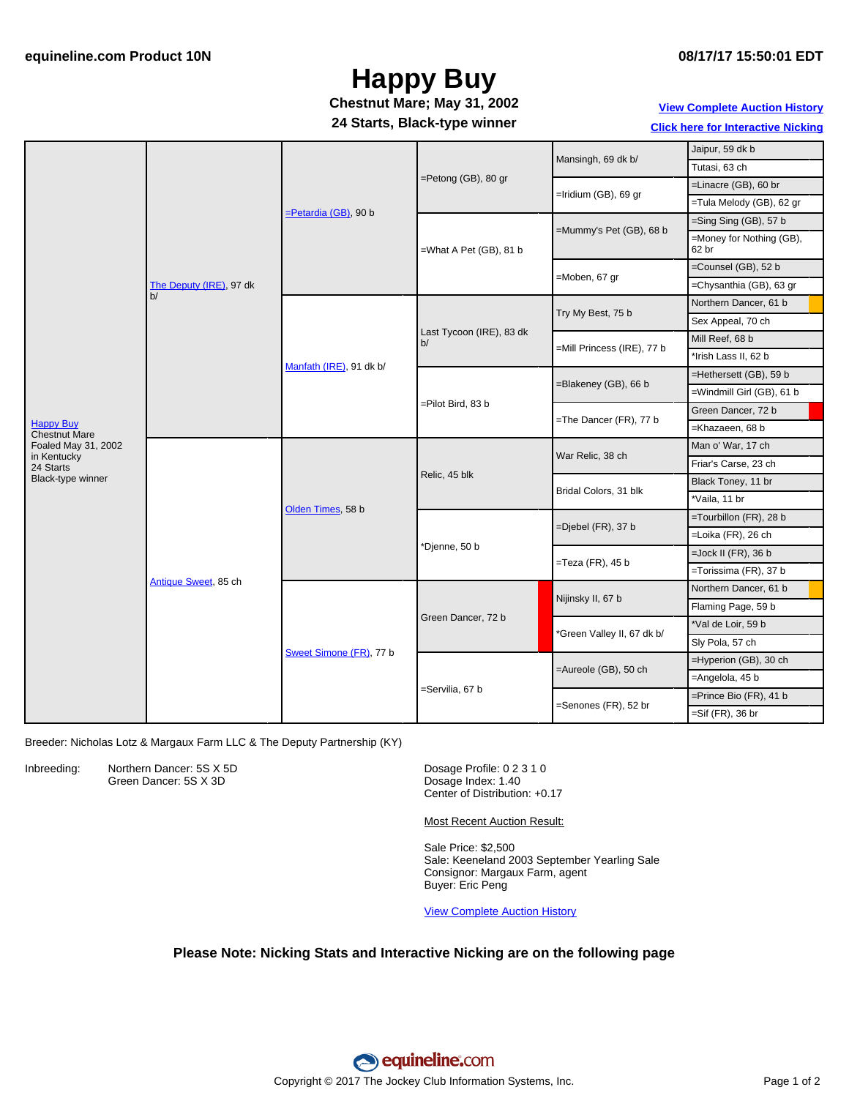## **Happy Buy**

#### **24 Starts, Black-type winner Chestnut Mare; May 31, 2002**

### **View [Complete](http://www.equineline.com/Free-Auction-Results.cfm?upsellReferenceNumber=&upsellHorseName=&upsellBreedType=&upsellHorseType=&upsellYOB=&lookupAuctionResults=true&tempHorseType=&tempSale=ALL&tempYear=ALL&search_type=HORSE&reference_number=6541613&horse_name=Fateful&horse_type=ALL&year=ALL&sale=ALL&consignor_id=&consignor_name=&buyer_id=&buyer_name=&price_range_low=&price_range_high=&availableConsignors=&availableBuyers=&fromFree5CrossPedigree=Y) Auction History**

**Click here for [Interactive](#page-1-0) Nicking**

|                                          | The Deputy (IRE), 97 dk<br>b/ | $=$ Petardia (GB), 90 b | $=$ Petong (GB), 80 gr         | Mansingh, 69 dk b/         | Jaipur, 59 dk b                   |
|------------------------------------------|-------------------------------|-------------------------|--------------------------------|----------------------------|-----------------------------------|
|                                          |                               |                         |                                |                            | Tutasi, 63 ch                     |
|                                          |                               |                         |                                | =Iridium (GB), 69 gr       | $=$ Linacre (GB), 60 br           |
|                                          |                               |                         |                                |                            | =Tula Melody (GB), 62 gr          |
|                                          |                               |                         | =What A Pet (GB), 81 b         | =Mummy's Pet (GB), 68 b    | $=$ Sing Sing (GB), 57 b          |
|                                          |                               |                         |                                |                            | =Money for Nothing (GB),<br>62 br |
|                                          |                               |                         |                                | =Moben, 67 gr              | $=$ Counsel (GB), 52 b            |
|                                          |                               |                         |                                |                            | =Chysanthia (GB), 63 gr           |
|                                          |                               | Manfath (IRE), 91 dk b/ | Last Tycoon (IRE), 83 dk<br>b/ | Try My Best, 75 b          | Northern Dancer, 61 b             |
|                                          |                               |                         |                                |                            | Sex Appeal, 70 ch                 |
|                                          |                               |                         |                                | =Mill Princess (IRE), 77 b | Mill Reef, 68 b                   |
|                                          |                               |                         |                                |                            | *Irish Lass II. 62 b              |
|                                          |                               |                         | =Pilot Bird, 83 b              | =Blakeney (GB), 66 b       | =Hethersett (GB), 59 b            |
| <b>Happy Buy</b><br><b>Chestnut Mare</b> |                               |                         |                                |                            | =Windmill Girl (GB), 61 b         |
|                                          |                               |                         |                                | =The Dancer (FR), 77 b     | Green Dancer, 72 b                |
|                                          |                               |                         |                                |                            | =Khazaeen, 68 b                   |
| Foaled May 31, 2002                      | Antique Sweet, 85 ch          | Olden Times, 58 b       | Relic, 45 blk                  | War Relic, 38 ch           | Man o' War, 17 ch                 |
| in Kentucky<br>24 Starts                 |                               |                         |                                |                            | Friar's Carse, 23 ch              |
| Black-type winner                        |                               |                         |                                | Bridal Colors, 31 blk      | Black Toney, 11 br                |
|                                          |                               |                         |                                |                            | *Vaila, 11 br                     |
|                                          |                               |                         | *Djenne, 50 b                  | =Djebel (FR), 37 b         | =Tourbillon (FR), 28 b            |
|                                          |                               |                         |                                |                            | =Loika (FR), 26 ch                |
|                                          |                               |                         |                                | $=$ Teza (FR), 45 b        | $=$ Jock II (FR), 36 b            |
|                                          |                               |                         |                                |                            | =Torissima (FR), 37 b             |
|                                          |                               | Sweet Simone (FR), 77 b | Green Dancer, 72 b             | Nijinsky II, 67 b          | Northern Dancer, 61 b             |
|                                          |                               |                         |                                |                            | Flaming Page, 59 b                |
|                                          |                               |                         |                                | *Green Valley II, 67 dk b/ | *Val de Loir, 59 b                |
|                                          |                               |                         |                                |                            | Sly Pola, 57 ch                   |
|                                          |                               |                         | =Servilia, 67 b                | =Aureole (GB), 50 ch       | =Hyperion (GB), 30 ch             |
|                                          |                               |                         |                                |                            | =Angelola, 45 b                   |
|                                          |                               |                         |                                | =Senones (FR), 52 br       | =Prince Bio (FR), 41 b            |
|                                          |                               |                         |                                |                            | $=Sif$ (FR), 36 br                |

Breeder: Nicholas Lotz & Margaux Farm LLC & The Deputy Partnership (KY)

Inbreeding: Northern Dancer: 5S X 5D Green Dancer: 5S X 3D

Dosage Profile: 0 2 3 1 0 Dosage Index: 1.40 Center of Distribution: +0.17

Most Recent Auction Result:

Sale Price: \$2,500 Sale: Keeneland 2003 September Yearling Sale Consignor: Margaux Farm, agent Buyer: Eric Peng

View [Complete](http://www.equineline.com/Free-Auction-Results.cfm?upsellReferenceNumber=&upsellHorseName=&upsellBreedType=&upsellHorseType=&upsellYOB=&lookupAuctionResults=true&tempHorseType=&tempSale=ALL&tempYear=ALL&search_type=HORSE&reference_number=6541613&horse_name=Fateful&horse_type=ALL&year=ALL&sale=ALL&consignor_id=&consignor_name=&buyer_id=&buyer_name=&price_range_low=&price_range_high=&availableConsignors=&availableBuyers=&fromFree5CrossPedigree=Y) Auction History

#### **Please Note: Nicking Stats and Interactive Nicking are on the following page**